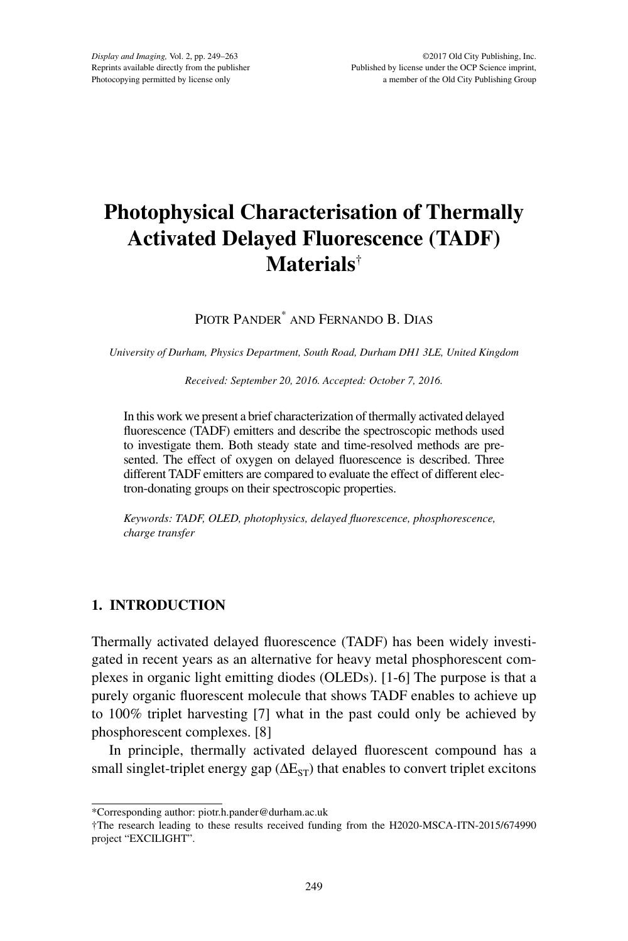# **Photophysical Characterisation of Thermally Activated Delayed Fluorescence (TADF) Materials**†

Piotr Pander\* and Fernando B. Dias

*University of Durham, Physics Department, South Road, Durham DH1 3LE, United Kingdom*

*Received: September 20, 2016. Accepted: October 7, 2016.*

In this work we present a brief characterization of thermally activated delayed fluorescence (TADF) emitters and describe the spectroscopic methods used to investigate them. Both steady state and time-resolved methods are presented. The effect of oxygen on delayed fluorescence is described. Three different TADF emitters are compared to evaluate the effect of different electron-donating groups on their spectroscopic properties.

*Keywords: TADF, OLED, photophysics, delayed fluorescence, phosphorescence, charge transfer*

# **1. INTRODUCTION**

Thermally activated delayed fluorescence (TADF) has been widely investigated in recent years as an alternative for heavy metal phosphorescent complexes in organic light emitting diodes (OLEDs). [1-6] The purpose is that a purely organic fluorescent molecule that shows TADF enables to achieve up to 100% triplet harvesting [7] what in the past could only be achieved by phosphorescent complexes. [8]

In principle, thermally activated delayed fluorescent compound has a small singlet-triplet energy gap ( $\Delta E_{ST}$ ) that enables to convert triplet excitons

<sup>\*</sup>Corresponding author: piotr.h.pander@durham.ac.uk

<sup>†</sup>The research leading to these results received funding from the H2020-MSCA-ITN-2015/674990 project "EXCILIGHT".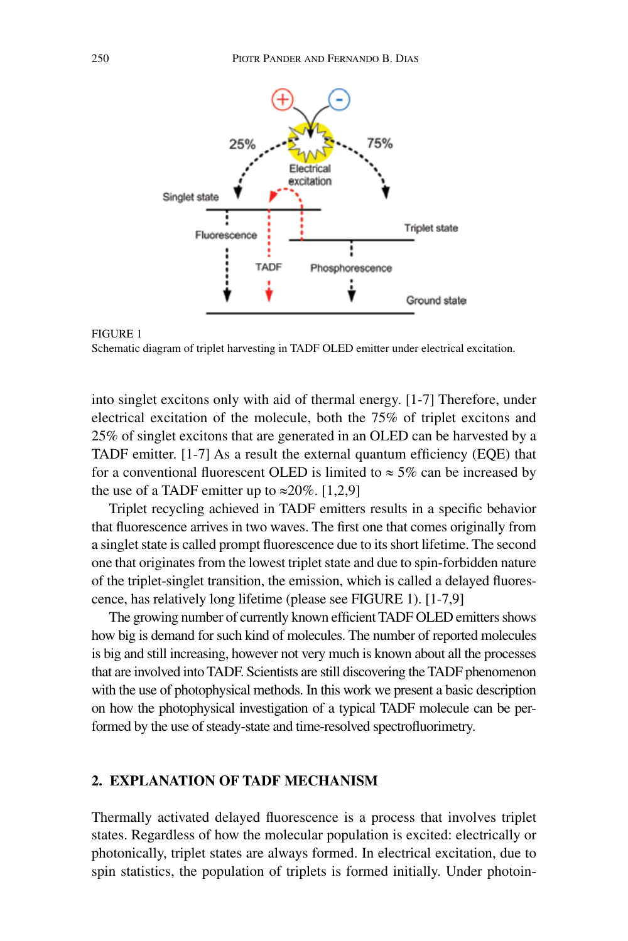

FIGURE 1 Schematic diagram of triplet harvesting in TADF OLED emitter under electrical excitation.

into singlet excitons only with aid of thermal energy. [1-7] Therefore, under electrical excitation of the molecule, both the 75% of triplet excitons and 25% of singlet excitons that are generated in an OLED can be harvested by a TADF emitter. [1-7] As a result the external quantum efficiency (EQE) that for a conventional fluorescent OLED is limited to  $\approx$  5% can be increased by the use of a TADF emitter up to  $\approx 20\%$ . [1,2,9]

Triplet recycling achieved in TADF emitters results in a specific behavior that fluorescence arrives in two waves. The first one that comes originally from a singlet state is called prompt fluorescence due to its short lifetime. The second one that originates from the lowest triplet state and due to spin-forbidden nature of the triplet-singlet transition, the emission, which is called a delayed fluorescence, has relatively long lifetime (please see FIGURE 1). [1-7,9]

The growing number of currently known efficient TADF OLED emitters shows how big is demand for such kind of molecules. The number of reported molecules is big and still increasing, however not very much is known about all the processes that are involved into TADF. Scientists are still discovering the TADF phenomenon with the use of photophysical methods. In this work we present a basic description on how the photophysical investigation of a typical TADF molecule can be performed by the use of steady-state and time-resolved spectrofluorimetry.

# **2. EXPLANATION OF TADF MECHANISM**

Thermally activated delayed fluorescence is a process that involves triplet states. Regardless of how the molecular population is excited: electrically or photonically, triplet states are always formed. In electrical excitation, due to spin statistics, the population of triplets is formed initially. Under photoin-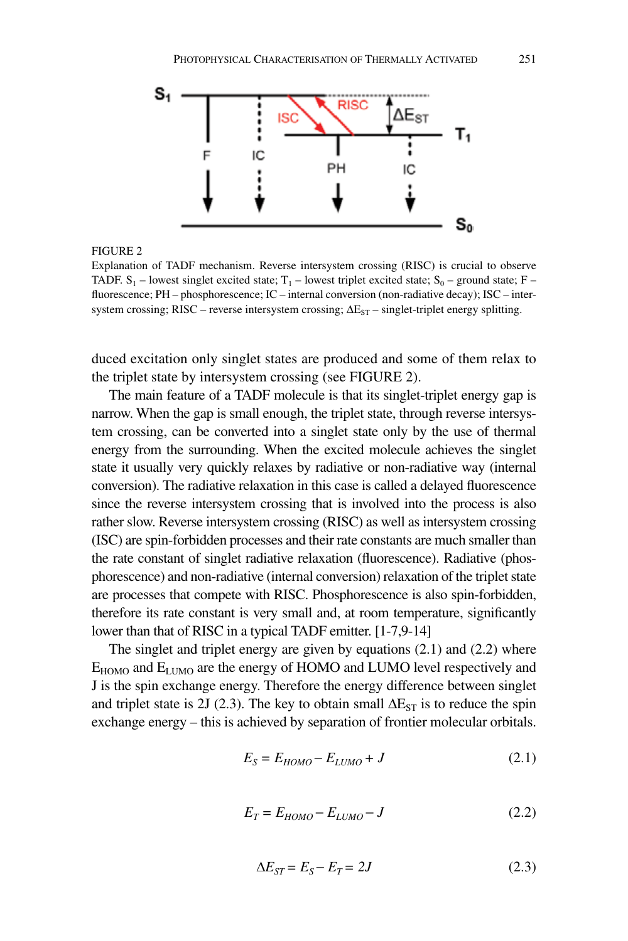

Explanation of TADF mechanism. Reverse intersystem crossing (RISC) is crucial to observe TADF.  $S_1$  – lowest singlet excited state;  $T_1$  – lowest triplet excited state;  $S_0$  – ground state; F – fluorescence; PH – phosphorescence; IC – internal conversion (non-radiative decay); ISC – intersystem crossing; RISC – reverse intersystem crossing;  $\Delta E_{ST}$  – singlet-triplet energy splitting.

duced excitation only singlet states are produced and some of them relax to the triplet state by intersystem crossing (see FIGURE 2).

The main feature of a TADF molecule is that its singlet-triplet energy gap is narrow. When the gap is small enough, the triplet state, through reverse intersystem crossing, can be converted into a singlet state only by the use of thermal energy from the surrounding. When the excited molecule achieves the singlet state it usually very quickly relaxes by radiative or non-radiative way (internal conversion). The radiative relaxation in this case is called a delayed fluorescence since the reverse intersystem crossing that is involved into the process is also rather slow. Reverse intersystem crossing (RISC) as well as intersystem crossing (ISC) are spin-forbidden processes and their rate constants are much smaller than the rate constant of singlet radiative relaxation (fluorescence). Radiative (phosphorescence) and non-radiative (internal conversion) relaxation of the triplet state are processes that compete with RISC. Phosphorescence is also spin-forbidden, therefore its rate constant is very small and, at room temperature, significantly lower than that of RISC in a typical TADF emitter. [1-7,9-14]

The singlet and triplet energy are given by equations (2.1) and (2.2) where  $E_{HOMO}$  and  $E_{LUMO}$  are the energy of HOMO and LUMO level respectively and J is the spin exchange energy. Therefore the energy difference between singlet and triplet state is 2J (2.3). The key to obtain small  $\Delta E_{ST}$  is to reduce the spin exchange energy – this is achieved by separation of frontier molecular orbitals.

$$
E_S = E_{HOMO} - E_{LUMO} + J \tag{2.1}
$$

$$
E_T = E_{HOMO} - E_{LUMO} - J \tag{2.2}
$$

$$
\Delta E_{ST} = E_S - E_T = 2J\tag{2.3}
$$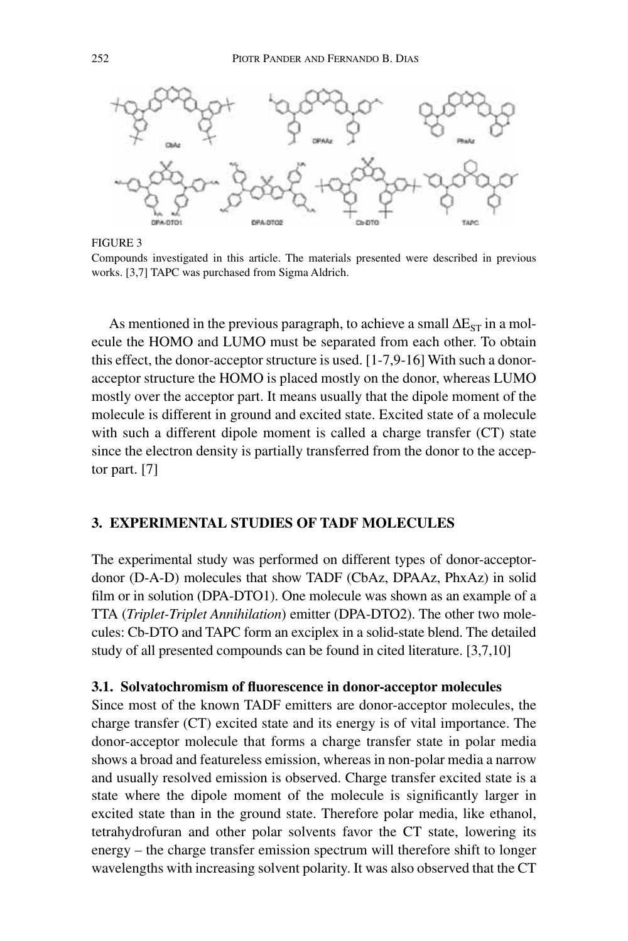

FIGURE 3

Compounds investigated in this article. The materials presented were described in previous works. [3,7] TAPC was purchased from Sigma Aldrich.

As mentioned in the previous paragraph, to achieve a small  $\Delta E_{ST}$  in a molecule the HOMO and LUMO must be separated from each other. To obtain this effect, the donor-acceptor structure is used. [1-7,9-16] With such a donoracceptor structure the HOMO is placed mostly on the donor, whereas LUMO mostly over the acceptor part. It means usually that the dipole moment of the molecule is different in ground and excited state. Excited state of a molecule with such a different dipole moment is called a charge transfer (CT) state since the electron density is partially transferred from the donor to the acceptor part. [7]

# **3. EXPERIMENTAL STUDIES OF TADF MOLECULES**

The experimental study was performed on different types of donor-acceptordonor (D-A-D) molecules that show TADF (CbAz, DPAAz, PhxAz) in solid film or in solution (DPA-DTO1). One molecule was shown as an example of a TTA (*Triplet-Triplet Annihilation*) emitter (DPA-DTO2). The other two molecules: Cb-DTO and TAPC form an exciplex in a solid-state blend. The detailed study of all presented compounds can be found in cited literature. [3,7,10]

# **3.1. Solvatochromism of fluorescence in donor-acceptor molecules**

Since most of the known TADF emitters are donor-acceptor molecules, the charge transfer (CT) excited state and its energy is of vital importance. The donor-acceptor molecule that forms a charge transfer state in polar media shows a broad and featureless emission, whereas in non-polar media a narrow and usually resolved emission is observed. Charge transfer excited state is a state where the dipole moment of the molecule is significantly larger in excited state than in the ground state. Therefore polar media, like ethanol, tetrahydrofuran and other polar solvents favor the CT state, lowering its energy – the charge transfer emission spectrum will therefore shift to longer wavelengths with increasing solvent polarity. It was also observed that the CT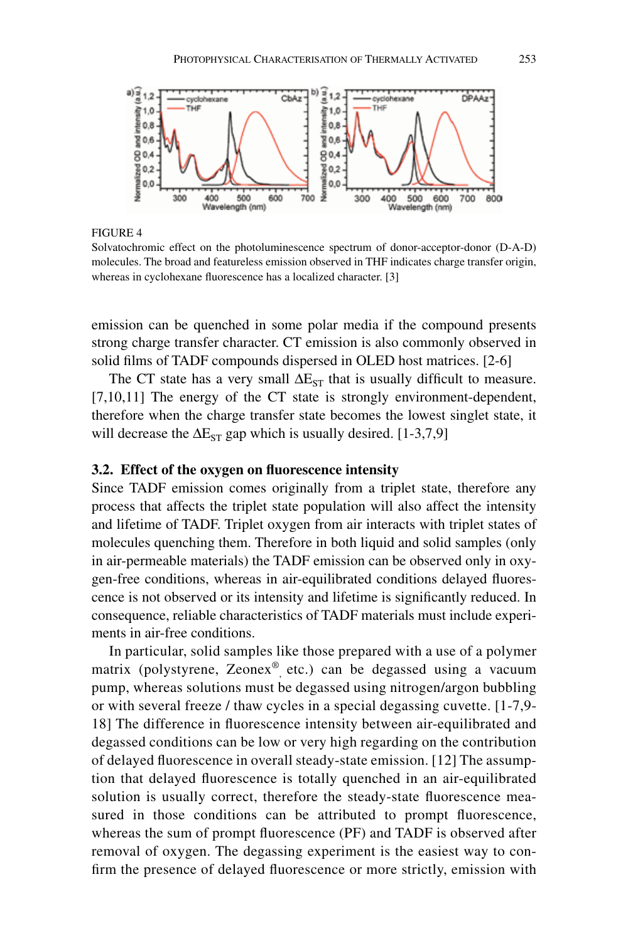

Solvatochromic effect on the photoluminescence spectrum of donor-acceptor-donor (D-A-D) molecules. The broad and featureless emission observed in THF indicates charge transfer origin, whereas in cyclohexane fluorescence has a localized character. [3]

emission can be quenched in some polar media if the compound presents strong charge transfer character. CT emission is also commonly observed in solid films of TADF compounds dispersed in OLED host matrices. [2-6]

The CT state has a very small  $\Delta E_{ST}$  that is usually difficult to measure. [7,10,11] The energy of the CT state is strongly environment-dependent, therefore when the charge transfer state becomes the lowest singlet state, it will decrease the  $\Delta E_{ST}$  gap which is usually desired. [1-3,7,9]

## **3.2. Effect of the oxygen on fluorescence intensity**

Since TADF emission comes originally from a triplet state, therefore any process that affects the triplet state population will also affect the intensity and lifetime of TADF. Triplet oxygen from air interacts with triplet states of molecules quenching them. Therefore in both liquid and solid samples (only in air-permeable materials) the TADF emission can be observed only in oxygen-free conditions, whereas in air-equilibrated conditions delayed fluorescence is not observed or its intensity and lifetime is significantly reduced. In consequence, reliable characteristics of TADF materials must include experiments in air-free conditions.

In particular, solid samples like those prepared with a use of a polymer matrix (polystyrene, Zeonex<sup>®</sup>, etc.) can be degassed using a vacuum pump, whereas solutions must be degassed using nitrogen/argon bubbling or with several freeze / thaw cycles in a special degassing cuvette. [1-7,9- 18] The difference in fluorescence intensity between air-equilibrated and degassed conditions can be low or very high regarding on the contribution of delayed fluorescence in overall steady-state emission. [12] The assumption that delayed fluorescence is totally quenched in an air-equilibrated solution is usually correct, therefore the steady-state fluorescence measured in those conditions can be attributed to prompt fluorescence, whereas the sum of prompt fluorescence (PF) and TADF is observed after removal of oxygen. The degassing experiment is the easiest way to confirm the presence of delayed fluorescence or more strictly, emission with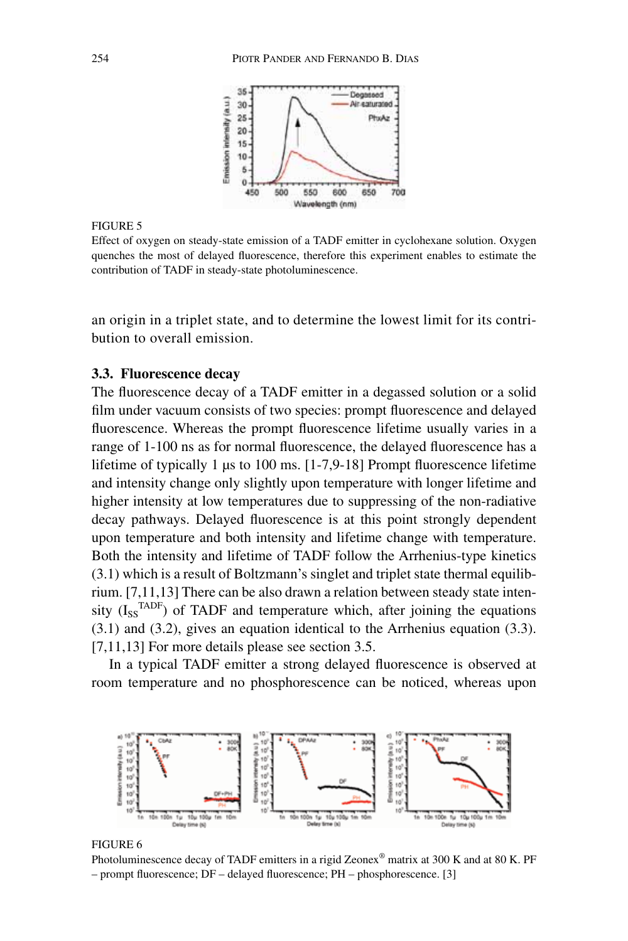

Effect of oxygen on steady-state emission of a TADF emitter in cyclohexane solution. Oxygen quenches the most of delayed fluorescence, therefore this experiment enables to estimate the contribution of TADF in steady-state photoluminescence.

an origin in a triplet state, and to determine the lowest limit for its contribution to overall emission.

# **3.3. Fluorescence decay**

The fluorescence decay of a TADF emitter in a degassed solution or a solid film under vacuum consists of two species: prompt fluorescence and delayed fluorescence. Whereas the prompt fluorescence lifetime usually varies in a range of 1-100 ns as for normal fluorescence, the delayed fluorescence has a lifetime of typically 1 µs to 100 ms. [1-7,9-18] Prompt fluorescence lifetime and intensity change only slightly upon temperature with longer lifetime and higher intensity at low temperatures due to suppressing of the non-radiative decay pathways. Delayed fluorescence is at this point strongly dependent upon temperature and both intensity and lifetime change with temperature. Both the intensity and lifetime of TADF follow the Arrhenius-type kinetics (3.1) which is a result of Boltzmann's singlet and triplet state thermal equilibrium. [7,11,13] There can be also drawn a relation between steady state intensity  $(I_{\rm ss}^{\rm TADF})$  of TADF and temperature which, after joining the equations (3.1) and (3.2), gives an equation identical to the Arrhenius equation (3.3). [7,11,13] For more details please see section 3.5.

In a typical TADF emitter a strong delayed fluorescence is observed at room temperature and no phosphorescence can be noticed, whereas upon



### FIGURE 6

Photoluminescence decay of TADF emitters in a rigid Zeonex® matrix at 300 K and at 80 K. PF – prompt fluorescence; DF – delayed fluorescence; PH – phosphorescence. [3]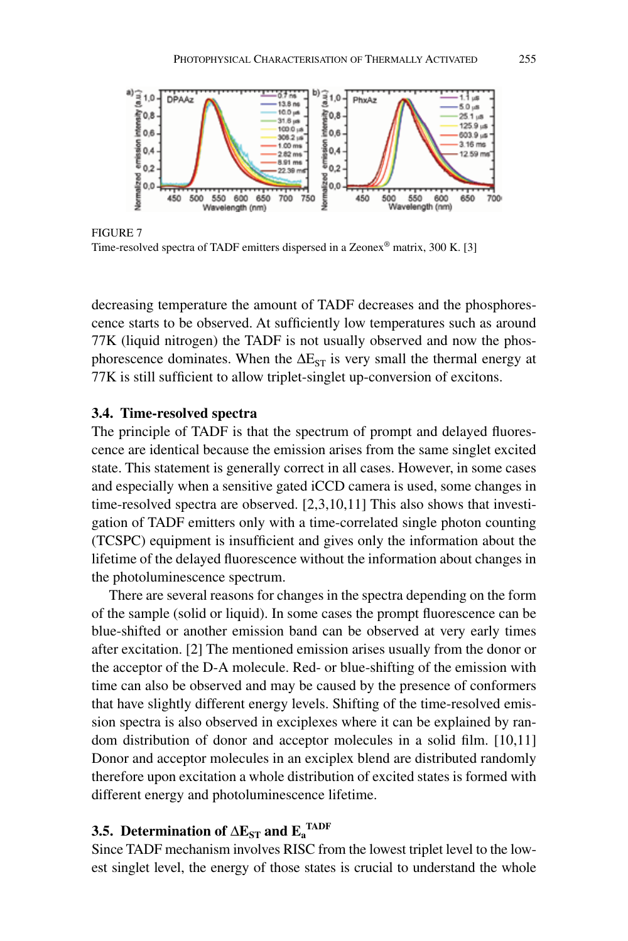

FIGURE 7 Time-resolved spectra of TADF emitters dispersed in a Zeonex® matrix, 300 K. [3]

decreasing temperature the amount of TADF decreases and the phosphorescence starts to be observed. At sufficiently low temperatures such as around 77K (liquid nitrogen) the TADF is not usually observed and now the phosphorescence dominates. When the  $\Delta E_{ST}$  is very small the thermal energy at 77K is still sufficient to allow triplet-singlet up-conversion of excitons.

### **3.4. Time-resolved spectra**

The principle of TADF is that the spectrum of prompt and delayed fluorescence are identical because the emission arises from the same singlet excited state. This statement is generally correct in all cases. However, in some cases and especially when a sensitive gated iCCD camera is used, some changes in time-resolved spectra are observed. [2,3,10,11] This also shows that investigation of TADF emitters only with a time-correlated single photon counting (TCSPC) equipment is insufficient and gives only the information about the lifetime of the delayed fluorescence without the information about changes in the photoluminescence spectrum.

There are several reasons for changes in the spectra depending on the form of the sample (solid or liquid). In some cases the prompt fluorescence can be blue-shifted or another emission band can be observed at very early times after excitation. [2] The mentioned emission arises usually from the donor or the acceptor of the D-A molecule. Red- or blue-shifting of the emission with time can also be observed and may be caused by the presence of conformers that have slightly different energy levels. Shifting of the time-resolved emission spectra is also observed in exciplexes where it can be explained by random distribution of donor and acceptor molecules in a solid film. [10,11] Donor and acceptor molecules in an exciplex blend are distributed randomly therefore upon excitation a whole distribution of excited states is formed with different energy and photoluminescence lifetime.

# **3.5.** Determination of  $\Delta E_{ST}$  and  $E_a^{TADE}$

Since TADF mechanism involves RISC from the lowest triplet level to the lowest singlet level, the energy of those states is crucial to understand the whole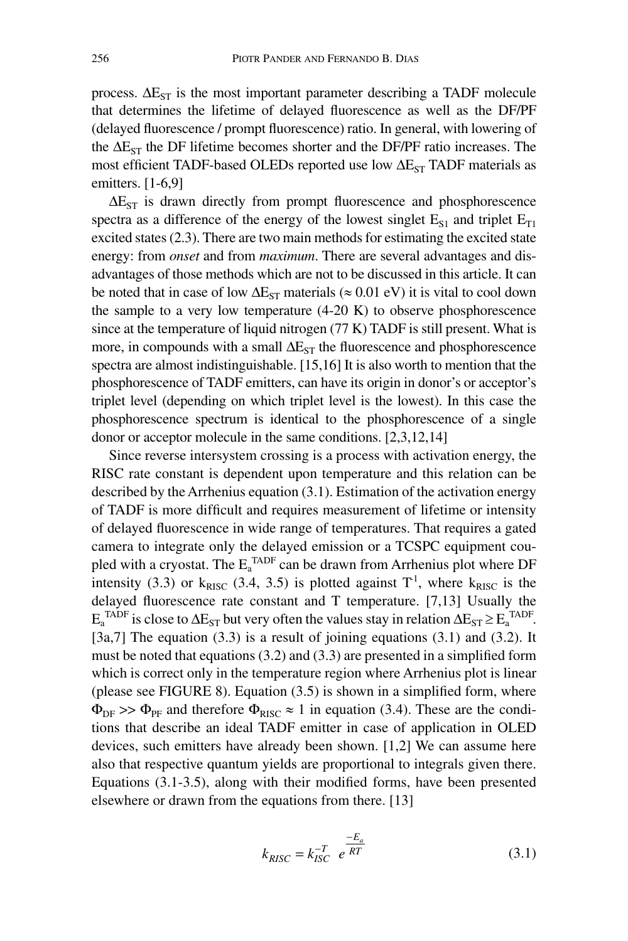process.  $\Delta E_{ST}$  is the most important parameter describing a TADF molecule that determines the lifetime of delayed fluorescence as well as the DF/PF (delayed fluorescence / prompt fluorescence) ratio. In general, with lowering of the  $\Delta E_{ST}$  the DF lifetime becomes shorter and the DF/PF ratio increases. The most efficient TADF-based OLEDs reported use low  $\Delta E_{ST}$  TADF materials as emitters. [1-6,9]

 $\Delta E_{ST}$  is drawn directly from prompt fluorescence and phosphorescence spectra as a difference of the energy of the lowest singlet  $E_{S1}$  and triplet  $E_{T1}$ excited states (2.3). There are two main methods for estimating the excited state energy: from *onset* and from *maximum*. There are several advantages and disadvantages of those methods which are not to be discussed in this article. It can be noted that in case of low  $\Delta E_{ST}$  materials ( $\approx 0.01$  eV) it is vital to cool down the sample to a very low temperature  $(4-20 K)$  to observe phosphorescence since at the temperature of liquid nitrogen (77 K) TADF is still present. What is more, in compounds with a small  $\Delta E_{ST}$  the fluorescence and phosphorescence spectra are almost indistinguishable. [15,16] It is also worth to mention that the phosphorescence of TADF emitters, can have its origin in donor's or acceptor's triplet level (depending on which triplet level is the lowest). In this case the phosphorescence spectrum is identical to the phosphorescence of a single donor or acceptor molecule in the same conditions. [2,3,12,14]

Since reverse intersystem crossing is a process with activation energy, the RISC rate constant is dependent upon temperature and this relation can be described by the Arrhenius equation (3.1). Estimation of the activation energy of TADF is more difficult and requires measurement of lifetime or intensity of delayed fluorescence in wide range of temperatures. That requires a gated camera to integrate only the delayed emission or a TCSPC equipment coupled with a cryostat. The  $E_a^{\text{TADE}}$  can be drawn from Arrhenius plot where DF intensity (3.3) or k<sub>RISC</sub> (3.4, 3.5) is plotted against  $T<sup>1</sup>$ , where k<sub>RISC</sub> is the delayed fluorescence rate constant and T temperature. [7,13] Usually the  $E_a^{\text{TADF}}$  is close to  $\Delta E_{ST}$  but very often the values stay in relation  $\Delta E_{ST} \ge E_a^{\text{TADF}}$ .  $[3a,7]$  The equation  $(3.3)$  is a result of joining equations  $(3.1)$  and  $(3.2)$ . It must be noted that equations (3.2) and (3.3) are presented in a simplified form which is correct only in the temperature region where Arrhenius plot is linear (please see FIGURE 8). Equation (3.5) is shown in a simplified form, where  $\Phi_{\text{DF}} >> \Phi_{\text{PF}}$  and therefore  $\Phi_{\text{RISC}} \approx 1$  in equation (3.4). These are the conditions that describe an ideal TADF emitter in case of application in OLED devices, such emitters have already been shown. [1,2] We can assume here also that respective quantum yields are proportional to integrals given there. Equations (3.1-3.5), along with their modified forms, have been presented elsewhere or drawn from the equations from there. [13]

$$
k_{RISC} = k_{ISC}^{-T} e^{\frac{-E_a}{RT}}
$$
 (3.1)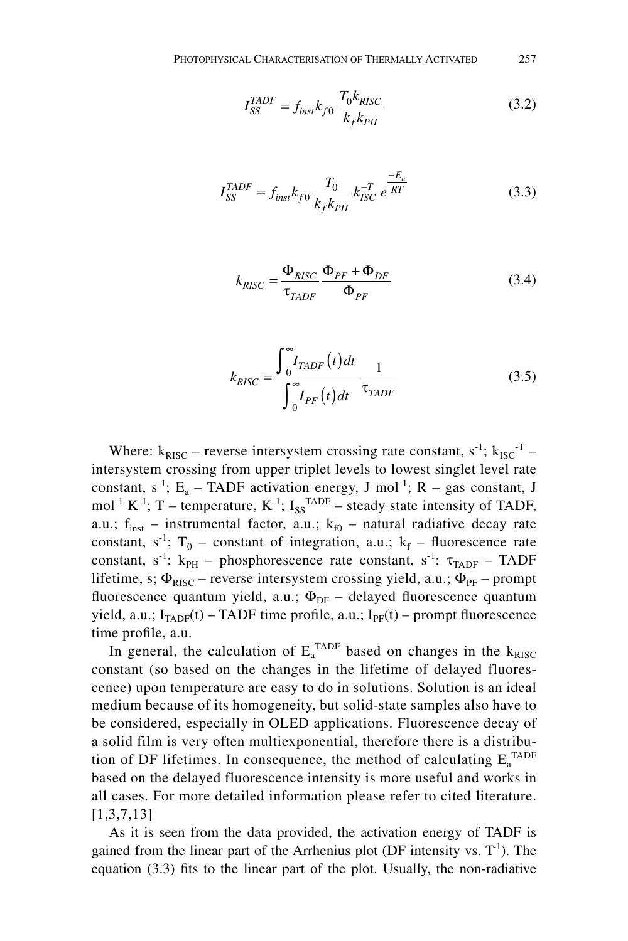$$
I_{SS}^{TADE} = f_{inst} k_{f0} \frac{T_0 k_{RISC}}{k_f k_{PH}}
$$
 (3.2)

$$
I_{SS}^{TADE} = f_{inst} k_{f0} \frac{T_0}{k_f k_{PH}} k_{ISC}^{-T} e^{\frac{-E_a}{RT}}
$$
(3.3)

$$
k_{RISC} = \frac{\Phi_{RISC}}{\tau_{TADF}} \frac{\Phi_{PF} + \Phi_{DF}}{\Phi_{PF}}
$$
(3.4)

$$
k_{RISC} = \frac{\int_{0}^{\infty} I_{TADF}(t)dt}{\int_{0}^{\infty} I_{PF}(t)dt} \frac{1}{\tau_{TADF}}
$$
(3.5)

Where:  $k_{RISC}$  – reverse intersystem crossing rate constant,  $s^{-1}$ ;  $k_{ISC}$ <sup>-T</sup> – intersystem crossing from upper triplet levels to lowest singlet level rate constant,  $s^{-1}$ ; E<sub>a</sub> – TADF activation energy, J mol<sup>-1</sup>; R – gas constant, J mol<sup>-1</sup> K<sup>-1</sup>; T – temperature, K<sup>-1</sup>; I<sub>SS</sub><sup>TADF</sup> – steady state intensity of TADF, a.u.;  $f_{inst}$  – instrumental factor, a.u.;  $k_{f0}$  – natural radiative decay rate constant,  $s^{-1}$ ;  $T_0$  – constant of integration, a.u.;  $k_f$  – fluorescence rate constant, s<sup>-1</sup>; k<sub>PH</sub> – phosphorescence rate constant, s<sup>-1</sup>;  $\tau_{TADE}$  – TADF lifetime, s;  $\Phi_{RISC}$  – reverse intersystem crossing yield, a.u.;  $\Phi_{PF}$  – prompt fluorescence quantum yield, a.u.;  $\Phi_{\text{DF}}$  – delayed fluorescence quantum yield, a.u.;  $I_{TADE}(t)$  – TADF time profile, a.u.;  $I_{PF}(t)$  – prompt fluorescence time profile, a.u.

In general, the calculation of  $E_a^{\text{TADF}}$  based on changes in the  $k_{\text{RISC}}$ constant (so based on the changes in the lifetime of delayed fluorescence) upon temperature are easy to do in solutions. Solution is an ideal medium because of its homogeneity, but solid-state samples also have to be considered, especially in OLED applications. Fluorescence decay of a solid film is very often multiexponential, therefore there is a distribution of DF lifetimes. In consequence, the method of calculating  $E_a^{\text{TADF}}$ based on the delayed fluorescence intensity is more useful and works in all cases. For more detailed information please refer to cited literature. [1,3,7,13]

As it is seen from the data provided, the activation energy of TADF is gained from the linear part of the Arrhenius plot (DF intensity vs.  $T<sup>1</sup>$ ). The equation (3.3) fits to the linear part of the plot. Usually, the non-radiative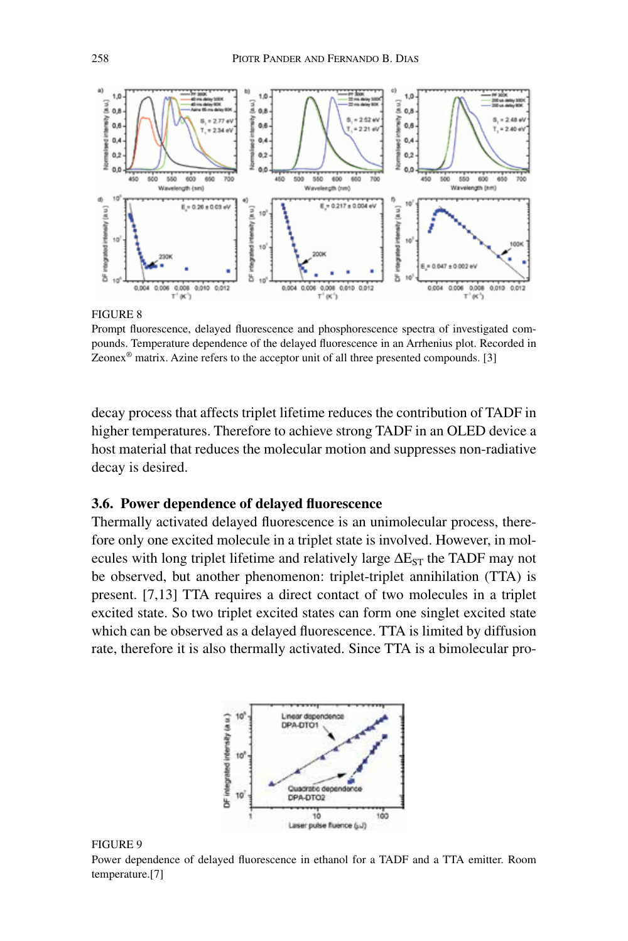

Prompt fluorescence, delayed fluorescence and phosphorescence spectra of investigated compounds. Temperature dependence of the delayed fluorescence in an Arrhenius plot. Recorded in Zeonex<sup>®</sup> matrix. Azine refers to the acceptor unit of all three presented compounds. [3]

decay process that affects triplet lifetime reduces the contribution of TADF in higher temperatures. Therefore to achieve strong TADF in an OLED device a host material that reduces the molecular motion and suppresses non-radiative decay is desired.

# **3.6. Power dependence of delayed fluorescence**

Thermally activated delayed fluorescence is an unimolecular process, therefore only one excited molecule in a triplet state is involved. However, in molecules with long triplet lifetime and relatively large  $\Delta E_{ST}$  the TADF may not be observed, but another phenomenon: triplet-triplet annihilation (TTA) is present. [7,13] TTA requires a direct contact of two molecules in a triplet excited state. So two triplet excited states can form one singlet excited state which can be observed as a delayed fluorescence. TTA is limited by diffusion rate, therefore it is also thermally activated. Since TTA is a bimolecular pro-



#### FIGURE 9

Power dependence of delayed fluorescence in ethanol for a TADF and a TTA emitter. Room temperature.[7]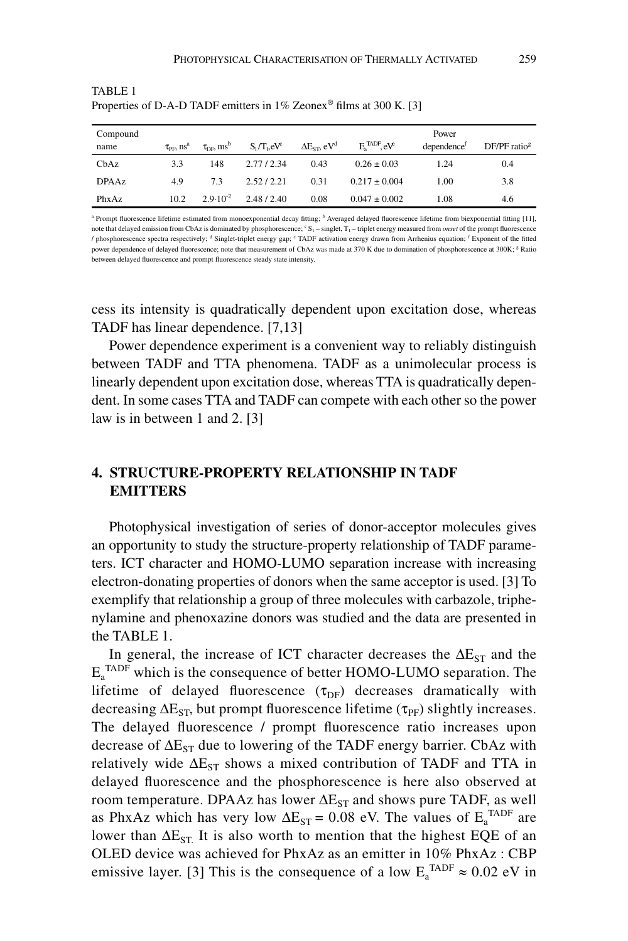| Compound<br>name | $\tau_{\rm PFL}$ $\rm ns^a$ | $\tau_{DE}$ ms <sup>b</sup> | $S_1/T_1$ , $eV^c$ | $\Delta E_{ST}$ , eV <sup>d</sup> | $E_a^{\text{TADF}}$ , $eV$ | Power<br>dependence <sup>f</sup> | $DF/PF$ ratio <sup>g</sup> |
|------------------|-----------------------------|-----------------------------|--------------------|-----------------------------------|----------------------------|----------------------------------|----------------------------|
| ChAz             | 3.3                         | 148                         | 2.77/2.34          | 0.43                              | $0.26 \pm 0.03$            | 1.24                             | 0.4                        |
| <b>DPAAz</b>     | 4.9                         | 73                          | 2.52/2.21          | 0.31                              | $0.217 \pm 0.004$          | 1.00                             | 3.8                        |
| PhxAz            | 10.2                        | $2.9 \cdot 10^{-2}$         | 2.48/2.40          | 0.08                              | $0.047 \pm 0.002$          | 1.08                             | 4.6                        |

TABLE 1 Properties of D-A-D TADF emitters in 1% Zeonex<sup>®</sup> films at 300 K. [3]

<sup>a</sup> Prompt fluorescence lifetime estimated from monoexponential decay fitting; <sup>b</sup> Averaged delayed fluorescence lifetime from biexponential fitting [11], note that delayed emission from CbAz is dominated by phosphorescence;  $cS_1$  – singlet,  $T_1$  – triplet energy measured from *onset* of the prompt fluorescence / phosphorescence spectra respectively; <sup>d</sup> Singlet-triplet energy gap; <sup>e</sup> TADF activation energy drawn from Arrhenius equation; <sup>f</sup> Exponent of the fitted power dependence of delayed fluorescence; note that measurement of CbAz was made at 370 K due to domination of phosphorescence at 300K; <sup>g</sup> Ratio between delayed fluorescence and prompt fluorescence steady state intensity.

cess its intensity is quadratically dependent upon excitation dose, whereas TADF has linear dependence. [7,13]

Power dependence experiment is a convenient way to reliably distinguish between TADF and TTA phenomena. TADF as a unimolecular process is linearly dependent upon excitation dose, whereas TTA is quadratically dependent. In some cases TTA and TADF can compete with each other so the power law is in between 1 and 2. [3]

# **4. STRUCTURE-PROPERTY RELATIONSHIP IN TADF EMITTERS**

Photophysical investigation of series of donor-acceptor molecules gives an opportunity to study the structure-property relationship of TADF parameters. ICT character and HOMO-LUMO separation increase with increasing electron-donating properties of donors when the same acceptor is used. [3] To exemplify that relationship a group of three molecules with carbazole, triphenylamine and phenoxazine donors was studied and the data are presented in the TABLE 1.

In general, the increase of ICT character decreases the  $\Delta E_{ST}$  and the  $E_a^{\text{TADF}}$  which is the consequence of better HOMO-LUMO separation. The lifetime of delayed fluorescence  $(\tau_{DF})$  decreases dramatically with decreasing  $\Delta E_{ST}$ , but prompt fluorescence lifetime ( $\tau_{PF}$ ) slightly increases. The delayed fluorescence / prompt fluorescence ratio increases upon decrease of  $\Delta E_{ST}$  due to lowering of the TADF energy barrier. CbAz with relatively wide  $\Delta E_{ST}$  shows a mixed contribution of TADF and TTA in delayed fluorescence and the phosphorescence is here also observed at room temperature. DPAAz has lower  $\Delta E_{ST}$  and shows pure TADF, as well as PhxAz which has very low  $\Delta E_{ST} = 0.08$  eV. The values of  $E_a^{TADF}$  are lower than  $\Delta E_{ST}$  It is also worth to mention that the highest EQE of an OLED device was achieved for PhxAz as an emitter in 10% PhxAz : CBP emissive layer. [3] This is the consequence of a low  $E_a^{\text{TADE}} \approx 0.02 \text{ eV}$  in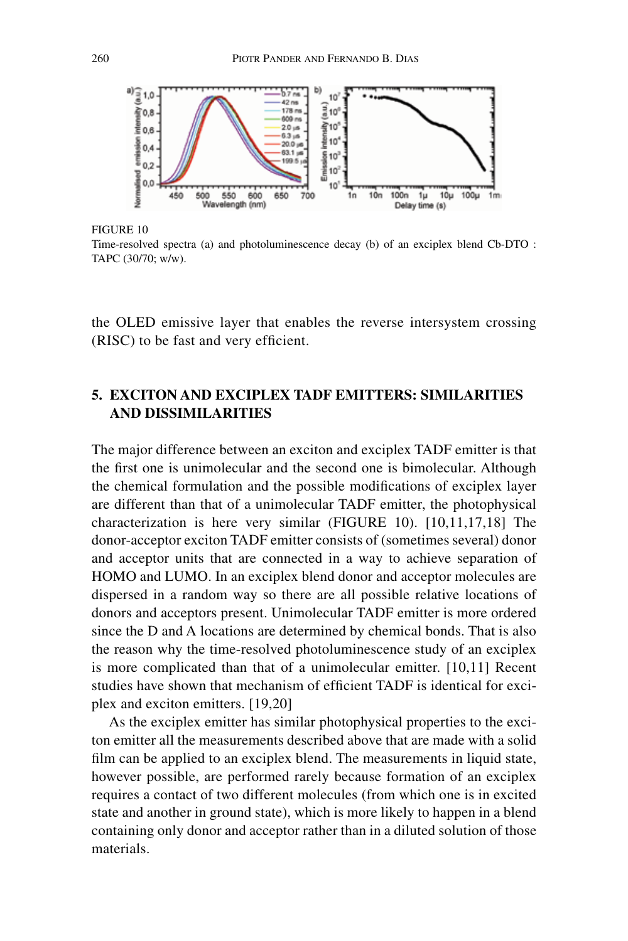

FIGURE 10

Time-resolved spectra (a) and photoluminescence decay (b) of an exciplex blend Cb-DTO : TAPC (30/70; w/w).

the OLED emissive layer that enables the reverse intersystem crossing (RISC) to be fast and very efficient.

# **5. EXCITON AND EXCIPLEX TADF EMITTERS: SIMILARITIES AND DISSIMILARITIES**

The major difference between an exciton and exciplex TADF emitter is that the first one is unimolecular and the second one is bimolecular. Although the chemical formulation and the possible modifications of exciplex layer are different than that of a unimolecular TADF emitter, the photophysical characterization is here very similar (FIGURE 10). [10,11,17,18] The donor-acceptor exciton TADF emitter consists of (sometimes several) donor and acceptor units that are connected in a way to achieve separation of HOMO and LUMO. In an exciplex blend donor and acceptor molecules are dispersed in a random way so there are all possible relative locations of donors and acceptors present. Unimolecular TADF emitter is more ordered since the D and A locations are determined by chemical bonds. That is also the reason why the time-resolved photoluminescence study of an exciplex is more complicated than that of a unimolecular emitter. [10,11] Recent studies have shown that mechanism of efficient TADF is identical for exciplex and exciton emitters. [19,20]

As the exciplex emitter has similar photophysical properties to the exciton emitter all the measurements described above that are made with a solid film can be applied to an exciplex blend. The measurements in liquid state, however possible, are performed rarely because formation of an exciplex requires a contact of two different molecules (from which one is in excited state and another in ground state), which is more likely to happen in a blend containing only donor and acceptor rather than in a diluted solution of those materials.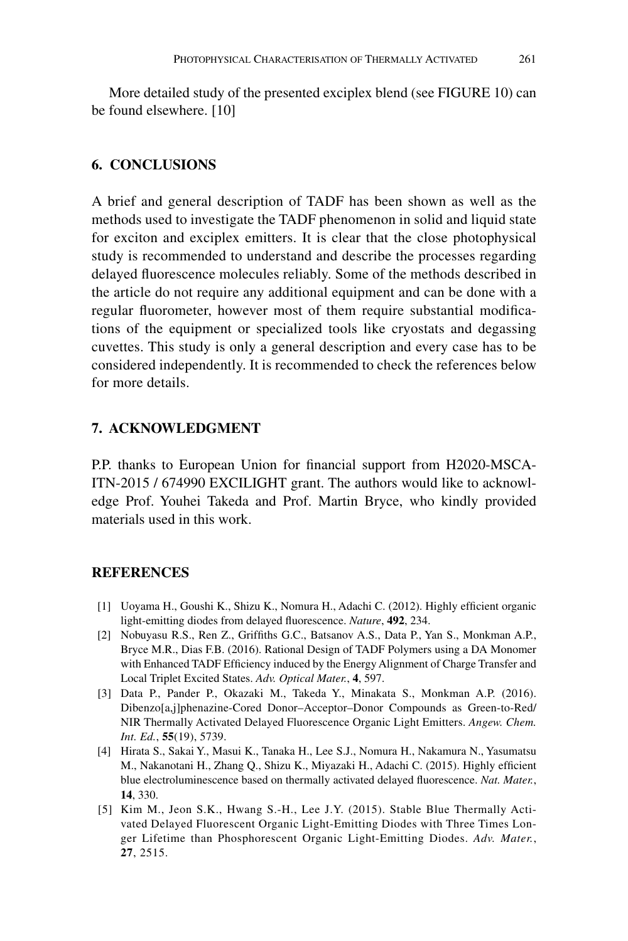More detailed study of the presented exciplex blend (see FIGURE 10) can be found elsewhere. [10]

# **6. CONCLUSIONS**

A brief and general description of TADF has been shown as well as the methods used to investigate the TADF phenomenon in solid and liquid state for exciton and exciplex emitters. It is clear that the close photophysical study is recommended to understand and describe the processes regarding delayed fluorescence molecules reliably. Some of the methods described in the article do not require any additional equipment and can be done with a regular fluorometer, however most of them require substantial modifications of the equipment or specialized tools like cryostats and degassing cuvettes. This study is only a general description and every case has to be considered independently. It is recommended to check the references below for more details.

# **7. ACKNOWLEDGMENT**

P.P. thanks to European Union for financial support from H2020-MSCA-ITN-2015 / 674990 EXCILIGHT grant. The authors would like to acknowledge Prof. Youhei Takeda and Prof. Martin Bryce, who kindly provided materials used in this work.

# **REFERENCES**

- [1] Uoyama H., Goushi K., Shizu K., Nomura H., Adachi C. (2012). Highly efficient organic light-emitting diodes from delayed fluorescence. *Nature*, **492**, 234.
- [2] Nobuyasu R.S., Ren Z., Griffiths G.C., Batsanov A.S., Data P., Yan S., Monkman A.P., Bryce M.R., Dias F.B. (2016). Rational Design of TADF Polymers using a DA Monomer with Enhanced TADF Efficiency induced by the Energy Alignment of Charge Transfer and Local Triplet Excited States. *Adv. Optical Mater.*, **4**, 597.
- [3] Data P., Pander P., Okazaki M., Takeda Y., Minakata S., Monkman A.P. (2016). Dibenzo[a,j]phenazine-Cored Donor–Acceptor–Donor Compounds as Green-to-Red/ NIR Thermally Activated Delayed Fluorescence Organic Light Emitters. *Angew. Chem. Int. Ed.*, **55**(19), 5739.
- [4] Hirata S., Sakai Y., Masui K., Tanaka H., Lee S.J., Nomura H., Nakamura N., Yasumatsu M., Nakanotani H., Zhang Q., Shizu K., Miyazaki H., Adachi C. (2015). Highly efficient blue electroluminescence based on thermally activated delayed fluorescence. *Nat. Mater.*, **14**, 330.
- [5] Kim M., Jeon S.K., Hwang S.-H., Lee J.Y. (2015). Stable Blue Thermally Activated Delayed Fluorescent Organic Light-Emitting Diodes with Three Times Longer Lifetime than Phosphorescent Organic Light-Emitting Diodes. *Adv. Mater.*, **27**, 2515.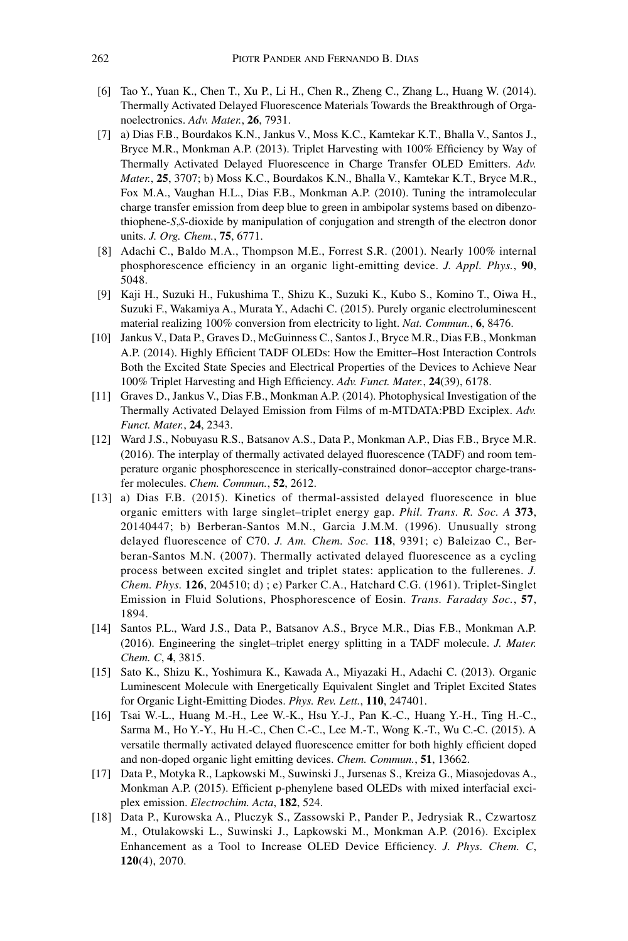- [6] Tao Y., Yuan K., Chen T., Xu P., Li H., Chen R., Zheng C., Zhang L., Huang W. (2014). Thermally Activated Delayed Fluorescence Materials Towards the Breakthrough of Organoelectronics. *Adv. Mater.*, **26**, 7931.
- [7] a) Dias F.B., Bourdakos K.N., Jankus V., Moss K.C., Kamtekar K.T., Bhalla V., Santos J., Bryce M.R., Monkman A.P. (2013). Triplet Harvesting with 100% Efficiency by Way of Thermally Activated Delayed Fluorescence in Charge Transfer OLED Emitters. *Adv. Mater.*, **25**, 3707; b) Moss K.C., Bourdakos K.N., Bhalla V., Kamtekar K.T., Bryce M.R., Fox M.A., Vaughan H.L., Dias F.B., Monkman A.P. (2010). Tuning the intramolecular charge transfer emission from deep blue to green in ambipolar systems based on dibenzothiophene-*S*,*S*-dioxide by manipulation of conjugation and strength of the electron donor units. *J. Org. Chem.*, **75**, 6771.
- [8] Adachi C., Baldo M.A., Thompson M.E., Forrest S.R. (2001). Nearly 100% internal phosphorescence efficiency in an organic light-emitting device. *J. Appl. Phys.*, **90**, 5048.
- [9] Kaji H., Suzuki H., Fukushima T., Shizu K., Suzuki K., Kubo S., Komino T., Oiwa H., Suzuki F., Wakamiya A., Murata Y., Adachi C. (2015). Purely organic electroluminescent material realizing 100% conversion from electricity to light. *Nat. Commun.*, **6**, 8476.
- [10] Jankus V., Data P., Graves D., McGuinness C., Santos J., Bryce M.R., Dias F.B., Monkman A.P. (2014). Highly Efficient TADF OLEDs: How the Emitter–Host Interaction Controls Both the Excited State Species and Electrical Properties of the Devices to Achieve Near 100% Triplet Harvesting and High Efficiency. *Adv. Funct. Mater.*, **24**(39), 6178.
- [11] Graves D., Jankus V., Dias F.B., Monkman A.P. (2014). Photophysical Investigation of the Thermally Activated Delayed Emission from Films of m-MTDATA:PBD Exciplex. *Adv. Funct. Mater.*, **24**, 2343.
- [12] Ward J.S., Nobuyasu R.S., Batsanov A.S., Data P., Monkman A.P., Dias F.B., Bryce M.R. (2016). The interplay of thermally activated delayed fluorescence (TADF) and room temperature organic phosphorescence in sterically-constrained donor–acceptor charge-transfer molecules. *Chem. Commun.*, **52**, 2612.
- [13] a) Dias F.B. (2015). Kinetics of thermal-assisted delayed fluorescence in blue organic emitters with large singlet–triplet energy gap. *Phil. Trans. R. Soc. A* **373**, 20140447; b) Berberan-Santos M.N., Garcia J.M.M. (1996). Unusually strong delayed fluorescence of C70. *J. Am. Chem. Soc.* **118**, 9391; c) Baleizao C., Berberan-Santos M.N. (2007). Thermally activated delayed fluorescence as a cycling process between excited singlet and triplet states: application to the fullerenes. *J. Chem. Phys.* **126**, 204510; d) ; e) Parker C.A., Hatchard C.G. (1961). Triplet-Singlet Emission in Fluid Solutions, Phosphorescence of Eosin. *Trans. Faraday Soc.*, **57**, 1894.
- [14] Santos P.L., Ward J.S., Data P., Batsanov A.S., Bryce M.R., Dias F.B., Monkman A.P. (2016). Engineering the singlet–triplet energy splitting in a TADF molecule. *J. Mater. Chem. C*, **4**, 3815.
- [15] Sato K., Shizu K., Yoshimura K., Kawada A., Miyazaki H., Adachi C. (2013). Organic Luminescent Molecule with Energetically Equivalent Singlet and Triplet Excited States for Organic Light-Emitting Diodes. *Phys. Rev. Lett.*, **110**, 247401.
- [16] Tsai W.-L., Huang M.-H., Lee W.-K., Hsu Y.-J., Pan K.-C., Huang Y.-H., Ting H.-C., Sarma M., Ho Y.-Y., Hu H.-C., Chen C.-C., Lee M.-T., Wong K.-T., Wu C.-C. (2015). A versatile thermally activated delayed fluorescence emitter for both highly efficient doped and non-doped organic light emitting devices. *Chem. Commun.*, **51**, 13662.
- [17] Data P., Motyka R., Lapkowski M., Suwinski J., Jursenas S., Kreiza G., Miasojedovas A., Monkman A.P. (2015). Efficient p-phenylene based OLEDs with mixed interfacial exciplex emission. *Electrochim. Acta*, **182**, 524.
- [18] Data P., Kurowska A., Pluczyk S., Zassowski P., Pander P., Jedrysiak R., Czwartosz M., Otulakowski L., Suwinski J., Lapkowski M., Monkman A.P. (2016). Exciplex Enhancement as a Tool to Increase OLED Device Efficiency. *J. Phys. Chem. C*, **120**(4), 2070.